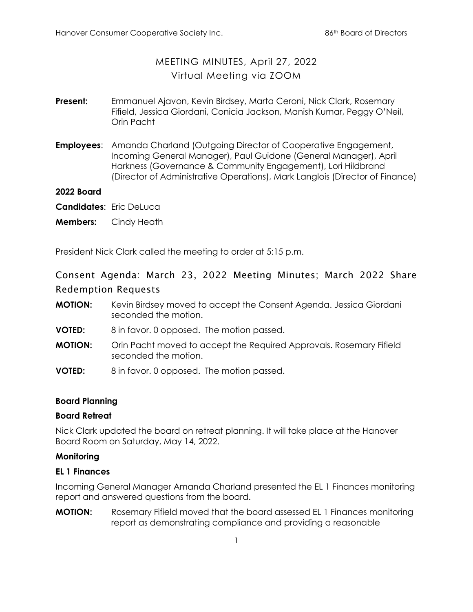# MEETING MINUTES, April 27, 2022 Virtual Meeting via ZOOM

- **Present:** Emmanuel Ajavon, Kevin Birdsey, Marta Ceroni, Nick Clark, Rosemary Fifield, Jessica Giordani, Conicia Jackson, Manish Kumar, Peggy O'Neil, Orin Pacht
- **Employees**: Amanda Charland (Outgoing Director of Cooperative Engagement, Incoming General Manager), Paul Guidone (General Manager), April Harkness (Governance & Community Engagement), Lori Hildbrand (Director of Administrative Operations), Mark Langlois (Director of Finance)

#### **2022 Board**

- **Candidates**: Eric DeLuca
- **Members:** Cindy Heath

President Nick Clark called the meeting to order at 5:15 p.m.

# Consent Agenda: March 23, 2022 Meeting Minutes; March 2022 Share Redemption Requests

- **MOTION:** Kevin Birdsey moved to accept the Consent Agenda. Jessica Giordani seconded the motion.
- **VOTED:** 8 in favor. 0 opposed. The motion passed.
- **MOTION:** Orin Pacht moved to accept the Required Approvals. Rosemary Fifield seconded the motion.
- **VOTED:** 8 in favor. 0 opposed. The motion passed.

#### **Board Planning**

#### **Board Retreat**

Nick Clark updated the board on retreat planning. It will take place at the Hanover Board Room on Saturday, May 14, 2022.

#### **Monitoring**

#### **EL 1 Finances**

Incoming General Manager Amanda Charland presented the EL 1 Finances monitoring report and answered questions from the board.

**MOTION:** Rosemary Fifield moved that the board assessed EL 1 Finances monitoring report as demonstrating compliance and providing a reasonable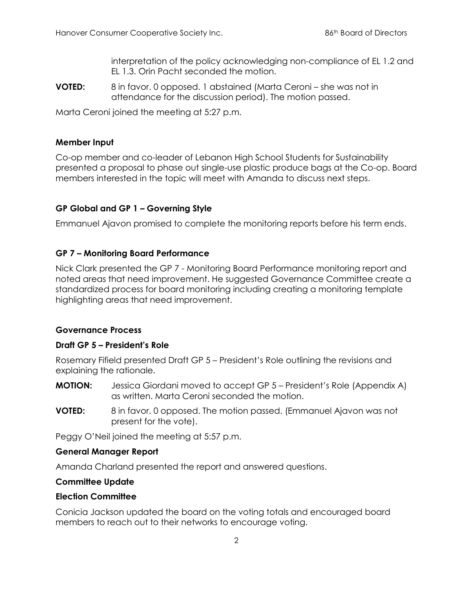interpretation of the policy acknowledging non-compliance of EL 1.2 and EL 1.3. Orin Pacht seconded the motion.

**VOTED:** 8 in favor. 0 opposed. 1 abstained (Marta Ceroni – she was not in attendance for the discussion period). The motion passed.

Marta Ceroni joined the meeting at 5:27 p.m.

#### **Member Input**

Co-op member and co-leader of Lebanon High School Students for Sustainability presented a proposal to phase out single-use plastic produce bags at the Co-op. Board members interested in the topic will meet with Amanda to discuss next steps.

### **GP Global and GP 1 – Governing Style**

Emmanuel Ajavon promised to complete the monitoring reports before his term ends.

#### **GP 7 – Monitoring Board Performance**

Nick Clark presented the GP 7 - Monitoring Board Performance monitoring report and noted areas that need improvement. He suggested Governance Committee create a standardized process for board monitoring including creating a monitoring template highlighting areas that need improvement.

#### **Governance Process**

#### **Draft GP 5 – President's Role**

Rosemary Fifield presented Draft GP 5 – President's Role outlining the revisions and explaining the rationale.

- **MOTION:** Jessica Giordani moved to accept GP 5 President's Role (Appendix A) as written. Marta Ceroni seconded the motion.
- **VOTED:** 8 in favor. 0 opposed. The motion passed. (Emmanuel Ajavon was not present for the vote).

Peggy O'Neil joined the meeting at 5:57 p.m.

#### **General Manager Report**

Amanda Charland presented the report and answered questions.

#### **Committee Update**

#### **Election Committee**

Conicia Jackson updated the board on the voting totals and encouraged board members to reach out to their networks to encourage voting.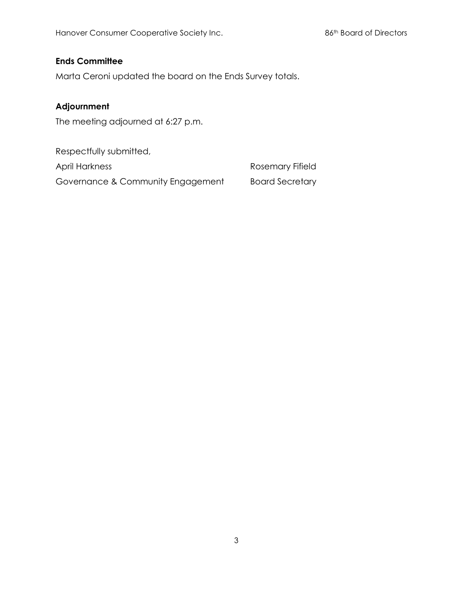Hanover Consumer Cooperative Society Inc. **86th Board of Directors** 86<sup>th</sup> Board of Directors

# **Ends Committee**

Marta Ceroni updated the board on the Ends Survey totals.

# **Adjournment**

The meeting adjourned at 6:27 p.m.

Respectfully submitted, April Harkness **Rosemary Fifield** Governance & Community Engagement Board Secretary